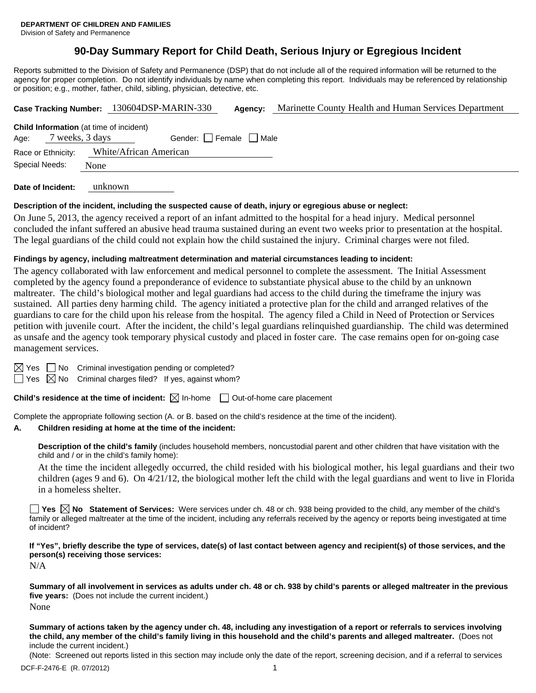# **90-Day Summary Report for Child Death, Serious Injury or Egregious Incident**

Reports submitted to the Division of Safety and Permanence (DSP) that do not include all of the required information will be returned to the agency for proper completion. Do not identify individuals by name when completing this report. Individuals may be referenced by relationship or position; e.g., mother, father, child, sibling, physician, detective, etc.

|                                      |                 |                                                | Case Tracking Number: 130604DSP-MARIN-330 |      | Marinette County Health and Human Services Department |  |
|--------------------------------------|-----------------|------------------------------------------------|-------------------------------------------|------|-------------------------------------------------------|--|
| Age:                                 | 7 weeks, 3 days | <b>Child Information</b> (at time of incident) | Gender: Female                            | Male |                                                       |  |
| Race or Ethnicity:<br>Special Needs: |                 | White/African American                         |                                           |      |                                                       |  |
|                                      |                 | None                                           |                                           |      |                                                       |  |

**Date of Incident:** unknown

#### **Description of the incident, including the suspected cause of death, injury or egregious abuse or neglect:**

On June 5, 2013, the agency received a report of an infant admitted to the hospital for a head injury. Medical personnel concluded the infant suffered an abusive head trauma sustained during an event two weeks prior to presentation at the hospital. The legal guardians of the child could not explain how the child sustained the injury. Criminal charges were not filed.

#### **Findings by agency, including maltreatment determination and material circumstances leading to incident:**

The agency collaborated with law enforcement and medical personnel to complete the assessment. The Initial Assessment completed by the agency found a preponderance of evidence to substantiate physical abuse to the child by an unknown maltreater. The child's biological mother and legal guardians had access to the child during the timeframe the injury was sustained. All parties deny harming child. The agency initiated a protective plan for the child and arranged relatives of the guardians to care for the child upon his release from the hospital. The agency filed a Child in Need of Protection or Services petition with juvenile court. After the incident, the child's legal guardians relinquished guardianship. The child was determined as unsafe and the agency took temporary physical custody and placed in foster care. The case remains open for on-going case management services.

 $\boxtimes$  Yes  $\Box$  No Criminal investigation pending or completed?

 $\Box$  Yes  $\boxtimes$  No Criminal charges filed? If yes, against whom?

**Child's residence at the time of incident:**  $\boxtimes$  In-home  $\Box$  Out-of-home care placement

Complete the appropriate following section (A. or B. based on the child's residence at the time of the incident).

#### **A. Children residing at home at the time of the incident:**

**Description of the child's family** (includes household members, noncustodial parent and other children that have visitation with the child and / or in the child's family home):

 At the time the incident allegedly occurred, the child resided with his biological mother, his legal guardians and their two children (ages 9 and 6). On 4/21/12, the biological mother left the child with the legal guardians and went to live in Florida in a homeless shelter.

**Yes No Statement of Services:** Were services under ch. 48 or ch. 938 being provided to the child, any member of the child's family or alleged maltreater at the time of the incident, including any referrals received by the agency or reports being investigated at time of incident?

**If "Yes", briefly describe the type of services, date(s) of last contact between agency and recipient(s) of those services, and the person(s) receiving those services:** 

N/A

**Summary of all involvement in services as adults under ch. 48 or ch. 938 by child's parents or alleged maltreater in the previous five years:** (Does not include the current incident.) None

**Summary of actions taken by the agency under ch. 48, including any investigation of a report or referrals to services involving the child, any member of the child's family living in this household and the child's parents and alleged maltreater.** (Does not include the current incident.)

(Note: Screened out reports listed in this section may include only the date of the report, screening decision, and if a referral to services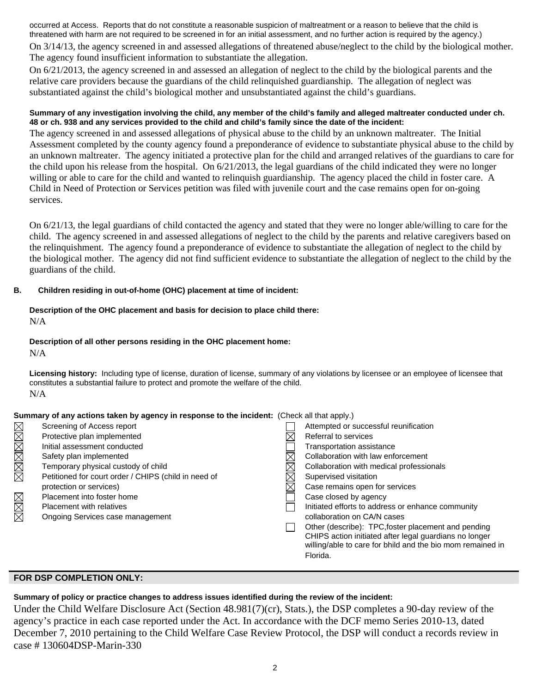occurred at Access. Reports that do not constitute a reasonable suspicion of maltreatment or a reason to believe that the child is threatened with harm are not required to be screened in for an initial assessment, and no further action is required by the agency.) On 3/14/13, the agency screened in and assessed allegations of threatened abuse/neglect to the child by the biological mother. The agency found insufficient information to substantiate the allegation.

On 6/21/2013, the agency screened in and assessed an allegation of neglect to the child by the biological parents and the relative care providers because the guardians of the child relinquished guardianship. The allegation of neglect was substantiated against the child's biological mother and unsubstantiated against the child's guardians.

#### **Summary of any investigation involving the child, any member of the child's family and alleged maltreater conducted under ch. 48 or ch. 938 and any services provided to the child and child's family since the date of the incident:**

The agency screened in and assessed allegations of physical abuse to the child by an unknown maltreater. The Initial Assessment completed by the county agency found a preponderance of evidence to substantiate physical abuse to the child by an unknown maltreater. The agency initiated a protective plan for the child and arranged relatives of the guardians to care for the child upon his release from the hospital. On 6/21/2013, the legal guardians of the child indicated they were no longer willing or able to care for the child and wanted to relinquish guardianship. The agency placed the child in foster care. A Child in Need of Protection or Services petition was filed with juvenile court and the case remains open for on-going services.

On 6/21/13, the legal guardians of child contacted the agency and stated that they were no longer able/willing to care for the child. The agency screened in and assessed allegations of neglect to the child by the parents and relative caregivers based on the relinquishment. The agency found a preponderance of evidence to substantiate the allegation of neglect to the child by the biological mother. The agency did not find sufficient evidence to substantiate the allegation of neglect to the child by the guardians of the child.

# **B. Children residing in out-of-home (OHC) placement at time of incident:**

### **Description of the OHC placement and basis for decision to place child there:** N/A

#### **Description of all other persons residing in the OHC placement home:**

 $N/A$ 

**Licensing history:** Including type of license, duration of license, summary of any violations by licensee or an employee of licensee that constitutes a substantial failure to protect and promote the welfare of the child. N/A

# **Summary of any actions taken by agency in response to the incident:** (Check all that apply.)

|             | Screening of Access report                           |             | Attempted or successful reunification                                                                                |
|-------------|------------------------------------------------------|-------------|----------------------------------------------------------------------------------------------------------------------|
|             | Protective plan implemented                          | $\boxtimes$ | Referral to services                                                                                                 |
| MMMMMM      | Initial assessment conducted                         |             | Transportation assistance                                                                                            |
|             | Safety plan implemented                              |             | Collaboration with law enforcement                                                                                   |
|             | Temporary physical custody of child                  | $\boxtimes$ | Collaboration with medical professionals                                                                             |
|             | Petitioned for court order / CHIPS (child in need of | $\boxtimes$ | Supervised visitation                                                                                                |
|             | protection or services)                              | $\boxtimes$ | Case remains open for services                                                                                       |
|             | Placement into foster home                           |             | Case closed by agency                                                                                                |
| M<br>M<br>M | <b>Placement with relatives</b>                      |             | Initiated efforts to address or enhance community                                                                    |
|             | Ongoing Services case management                     |             | collaboration on CA/N cases                                                                                          |
|             |                                                      |             | Other (describe): TPC, foster placement and pending                                                                  |
|             |                                                      |             | CHIPS action initiated after legal guardians no longer<br>willing/able to care for bhild and the bio mom remained in |
|             |                                                      |             | Florida.                                                                                                             |

# **FOR DSP COMPLETION ONLY:**

# **Summary of policy or practice changes to address issues identified during the review of the incident:**

Under the Child Welfare Disclosure Act (Section 48.981(7)(cr), Stats.), the DSP completes a 90-day review of the agency's practice in each case reported under the Act. In accordance with the DCF memo Series 2010-13, dated December 7, 2010 pertaining to the Child Welfare Case Review Protocol, the DSP will conduct a records review in case # 130604DSP-Marin-330